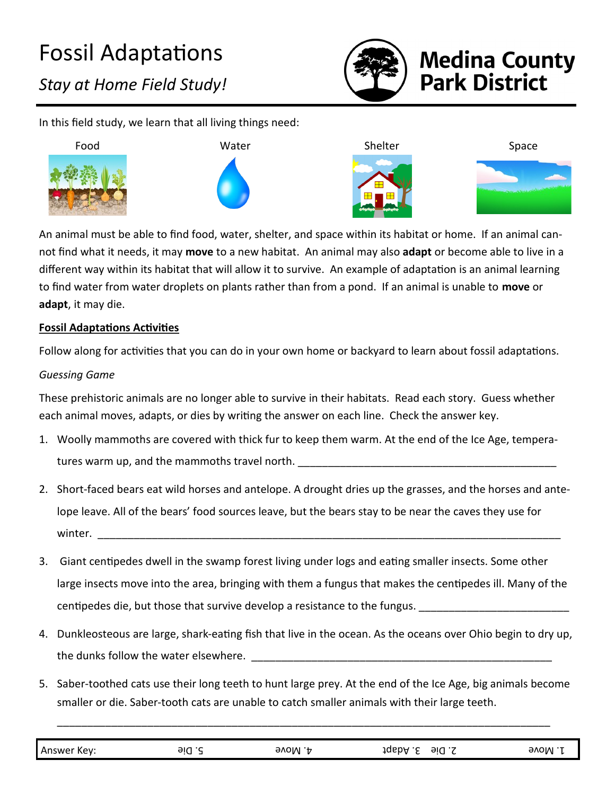

# **Medina County<br>Park District**

In this field study, we learn that all living things need:



An animal must be able to find food, water, shelter, and space within its habitat or home. If an animal cannot find what it needs, it may **move** to a new habitat. An animal may also **adapt** or become able to live in a different way within its habitat that will allow it to survive. An example of adaptation is an animal learning to find water from water droplets on plants rather than from a pond. If an animal is unable to **move** or **adapt**, it may die.

#### **Fossil Adaptations Activities**

Follow along for activities that you can do in your own home or backyard to learn about fossil adaptations.

### *Guessing Game*

These prehistoric animals are no longer able to survive in their habitats. Read each story. Guess whether each animal moves, adapts, or dies by writing the answer on each line. Check the answer key.

- 1. Woolly mammoths are covered with thick fur to keep them warm. At the end of the Ice Age, temperatures warm up, and the mammoths travel north.
- 2. Short-faced bears eat wild horses and antelope. A drought dries up the grasses, and the horses and antelope leave. All of the bears' food sources leave, but the bears stay to be near the caves they use for  ${\sf winter.}$
- 3. Giant centipedes dwell in the swamp forest living under logs and eating smaller insects. Some other large insects move into the area, bringing with them a fungus that makes the centipedes ill. Many of the centipedes die, but those that survive develop a resistance to the fungus. \_\_\_\_\_\_\_\_\_\_\_\_
- 4. Dunkleosteous are large, shark-eating fish that live in the ocean. As the oceans over Ohio begin to dry up, the dunks follow the water elsewhere.  $\blacksquare$
- 5. Saber-toothed cats use their long teeth to hunt large prey. At the end of the Ice Age, big animals become smaller or die. Saber-tooth cats are unable to catch smaller animals with their large teeth.

| Answer Key: | 9iQ .Z | 9VOM .‡ | JQ6DA .と<br>9id.S | элом |
|-------------|--------|---------|-------------------|------|
|             |        |         |                   |      |

\_\_\_\_\_\_\_\_\_\_\_\_\_\_\_\_\_\_\_\_\_\_\_\_\_\_\_\_\_\_\_\_\_\_\_\_\_\_\_\_\_\_\_\_\_\_\_\_\_\_\_\_\_\_\_\_\_\_\_\_\_\_\_\_\_\_\_\_\_\_\_\_\_\_\_\_\_\_\_\_\_\_